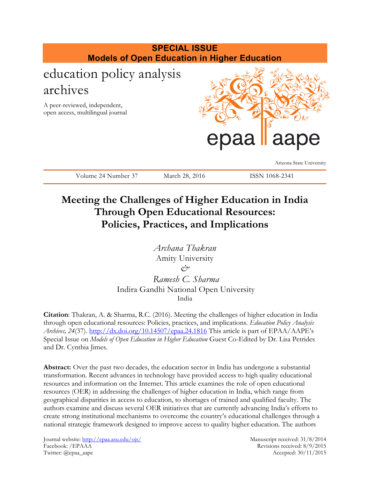

# **Meeting the Challenges of Higher Education in India Through Open Educational Resources: Policies, Practices, and Implications**

*Archana Thakran* Amity University *& Ramesh C. Sharma*

Indira Gandhi National Open University India

**Citation**: Thakran, A. & Sharma, R.C. (2016). Meeting the challenges of higher education in India through open educational resources: Policies, practices, and implications. *Education Policy Analysis Archives, 24*(37).<http://dx.doi.org/10.14507/epaa.24.1816> This article is part of EPAA/AAPE's Special Issue on *Models of Open Education in Higher Education* Guest Co-Edited by Dr. Lisa Petrides and Dr. Cynthia Jimes.

**Abstract:** Over the past two decades, the education sector in India has undergone a substantial transformation. Recent advances in technology have provided access to high quality educational resources and information on the Internet. This article examines the role of open educational resources (OER) in addressing the challenges of higher education in India, which range from geographical disparities in access to education, to shortages of trained and qualified faculty. The authors examine and discuss several OER initiatives that are currently advancing India's efforts to create strong institutional mechanisms to overcome the country's educational challenges through a national strategic framework designed to improve access to quality higher education. The authors

Journal website:<http://epaa.asu.edu/ojs/> Manuscript received: 31/8/2014 Facebook: /EPAAA Revisions received: 8/9/2015 Twitter: @epaa\_aape Accepted: 30/11/2015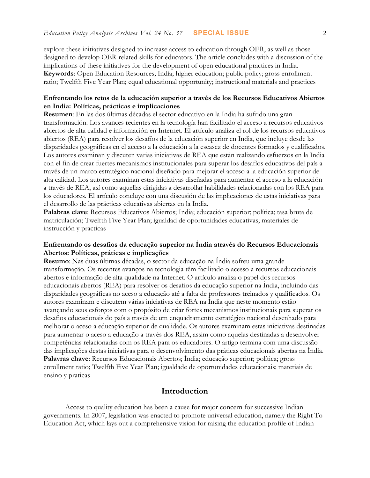explore these initiatives designed to increase access to education through OER, as well as those designed to develop OER-related skills for educators. The article concludes with a discussion of the implications of these initiatives for the development of open educational practices in India. **Keywords**: Open Education Resources; India; higher education; public policy; gross enrollment ratio; Twelfth Five Year Plan; equal educational opportunity; instructional materials and practices

### **Enfrentando los retos de la educación superior a través de los Recursos Educativos Abiertos en India: Políticas, prácticas e implicaciones**

**Resumen**: En las dos últimas décadas el sector educativo en la India ha sufrido una gran transformación. Los avances recientes en la tecnología han facilitado el acceso a recursos educativos abiertos de alta calidad e información en Internet. El artículo analiza el rol de los recursos educativos abiertos (REA) para resolver los desafíos de la educación superior en India, que incluye desde las disparidades geográficas en el acceso a la educación a la escasez de docentes formados y cualificados. Los autores examinan y discuten varias iniciativas de REA que están realizando esfuerzos en la India con el fin de crear fuertes mecanismos institucionales para superar los desafíos educativos del país a través de un marco estratégico nacional diseñado para mejorar el acceso a la educación superior de alta calidad. Los autores examinan estas iniciativas diseñadas para aumentar el acceso a la educación a través de REA, así como aquellas dirigidas a desarrollar habilidades relacionadas con los REA para los educadores. El artículo concluye con una discusión de las implicaciones de estas iniciativas para el desarrollo de las prácticas educativas abiertas en la India.

**Palabras clave**: Recursos Educativos Abiertos; India; educación superior; política; tasa bruta de matriculación; Twelfth Five Year Plan; igualdad de oportunidades educativas; materiales de instrucción y practicas

#### **Enfrentando os desafios da educação superior na Índia através do Recursos Educacionais Abertos: Políticas, práticas e implicações**

**Resumo**: Nas duas últimas décadas, o sector da educação na Índia sofreu uma grande transformação. Os recentes avanços na tecnologia têm facilitado o acesso a recursos educacionais abertos e informação de alta qualidade na Internet. O artículo analisa o papel dos recursos educacionais abertos (REA) para resolver os desafios da educação superior na Índia, incluindo das disparidades geográficas no aceso a educação até a falta de professores treinados y qualificados. Os autores examinam e discutem várias iniciativas de REA na Índia que neste momento estão avançando seus esforços com o propósito de criar fortes mecanismos institucionais para superar os desafios educacionais do país a través de um enquadramento estratégico nacional desenhado para melhorar o aceso a educação superior de qualidade. Os autores examinam estas iniciativas destinadas para aumentar o aceso a educação a través dos REA, assim como aquelas destinadas a desenvolver competências relacionadas com os REA para os educadores. O artigo termina com uma discussão das implicações destas iniciativas para o desenvolvimento das práticas educacionais abertas na Índia. **Palavras chave**: Recursos Educacionais Abertos; Índia; educação superior; política; gross enrollment ratio; Twelfth Five Year Plan; igualdade de oportunidades educacionais; materiais de ensino y praticas

#### **Introduction**

Access to quality education has been a cause for major concern for successive Indian governments. In 2007, legislation was enacted to promote universal education, namely the Right To Education Act, which lays out a comprehensive vision for raising the education profile of Indian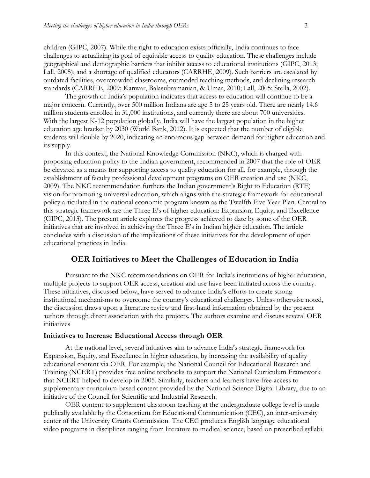children (GIPC, 2007). While the right to education exists officially, India continues to face challenges to actualizing its goal of equitable access to quality education. These challenges include geographical and demographic barriers that inhibit access to educational institutions (GIPC, 2013; Lall, 2005), and a shortage of qualified educators (CARRHE, 2009). Such barriers are escalated by outdated facilities, overcrowded classrooms, outmoded teaching methods, and declining research standards (CARRHE, 2009; Kanwar, Balasubramanian, & Umar, 2010; Lall, 2005; Stella, 2002).

The growth of India's population indicates that access to education will continue to be a major concern. Currently, over 500 million Indians are age 5 to 25 years old. There are nearly 14.6 million students enrolled in 31,000 institutions, and currently there are about 700 universities. With the largest K-12 population globally, India will have the largest population in the higher education age bracket by 2030 (World Bank, 2012). It is expected that the number of eligible students will double by 2020, indicating an enormous gap between demand for higher education and its supply.

In this context, the National Knowledge Commission (NKC), which is charged with proposing education policy to the Indian government, recommended in 2007 that the role of OER be elevated as a means for supporting access to quality education for all, for example, through the establishment of faculty professional development programs on OER creation and use (NKC, 2009). The NKC recommendation furthers the Indian government's Right to Education (RTE) vision for promoting universal education, which aligns with the strategic framework for educational policy articulated in the national economic program known as the Twelfth Five Year Plan. Central to this strategic framework are the Three E's of higher education: Expansion, Equity, and Excellence (GIPC, 2013). The present article explores the progress achieved to date by some of the OER initiatives that are involved in achieving the Three E's in Indian higher education. The article concludes with a discussion of the implications of these initiatives for the development of open educational practices in India.

#### **OER Initiatives to Meet the Challenges of Education in India**

Pursuant to the NKC recommendations on OER for India's institutions of higher education, multiple projects to support OER access, creation and use have been initiated across the country. These initiatives, discussed below, have served to advance India's efforts to create strong institutional mechanisms to overcome the country's educational challenges. Unless otherwise noted, the discussion draws upon a literature review and first-hand information obtained by the present authors through direct association with the projects. The authors examine and discuss several OER initiatives

#### **Initiatives to Increase Educational Access through OER**

At the national level, several initiatives aim to advance India's strategic framework for Expansion, Equity, and Excellence in higher education, by increasing the availability of quality educational content via OER. For example, the National Council for Educational Research and Training (NCERT) provides free online textbooks to support the National Curriculum Framework that NCERT helped to develop in 2005. Similarly, teachers and learners have free access to supplementary curriculum-based content provided by the National Science Digital Library, due to an initiative of the Council for Scientific and Industrial Research.

OER content to supplement classroom teaching at the undergraduate college level is made publically available by the Consortium for Educational Communication (CEC), an inter-university center of the University Grants Commission. The CEC produces English language educational video programs in disciplines ranging from literature to medical science, based on prescribed syllabi.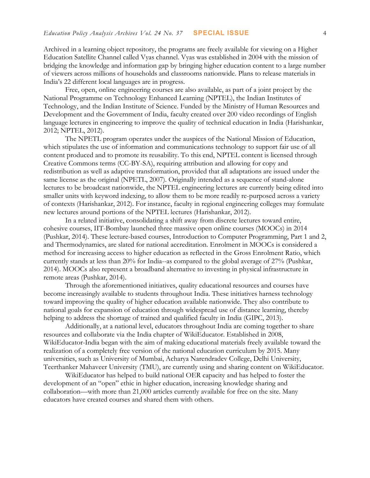Archived in a learning object repository, the programs are freely available for viewing on a Higher Education Satellite Channel called Vyas channel. Vyas was established in 2004 with the mission of bridging the knowledge and information gap by bringing higher education content to a large number of viewers across millions of households and classrooms nationwide. Plans to release materials in India's 22 different local languages are in progress.

Free, open, online engineering courses are also available, as part of a joint project by the National Programme on Technology Enhanced Learning (NPTEL), the Indian Institutes of Technology, and the Indian Institute of Science. Funded by the Ministry of Human Resources and Development and the Government of India, faculty created over 200 video recordings of English language lectures in engineering to improve the quality of technical education in India (Harishankar, 2012; NPTEL, 2012).

The NPETL program operates under the auspices of the National Mission of Education, which stipulates the use of information and communications technology to support fair use of all content produced and to promote its reusability. To this end, NPTEL content is licensed through Creative Commons terms (CC-BY-SA), requiring attribution and allowing for copy and redistribution as well as adaptive transformation, provided that all adaptations are issued under the same license as the original (NPETL, 2007). Originally intended as a sequence of stand-alone lectures to be broadcast nationwide, the NPTEL engineering lectures are currently being edited into smaller units with keyword indexing, to allow them to be more readily re-purposed across a variety of contexts (Harishankar, 2012). For instance, faculty in regional engineering colleges may formulate new lectures around portions of the NPTEL lectures (Harishankar, 2012).

In a related initiative, consolidating a shift away from discrete lectures toward entire, cohesive courses, IIT-Bombay launched three massive open online courses (MOOCs) in 2014 (Pushkar, 2014). These lecture-based courses, Introduction to Computer Programming, Part 1 and 2, and Thermodynamics, are slated for national accreditation. Enrolment in MOOCs is considered a method for increasing access to higher education as reflected in the Gross Enrolment Ratio, which currently stands at less than 20% for India--as compared to the global average of 27% (Pushkar, 2014). MOOCs also represent a broadband alternative to investing in physical infrastructure in remote areas (Pushkar, 2014).

Through the aforementioned initiatives, quality educational resources and courses have become increasingly available to students throughout India. These initiatives harness technology toward improving the quality of higher education available nationwide. They also contribute to national goals for expansion of education through widespread use of distance learning, thereby helping to address the shortage of trained and qualified faculty in India (GIPC, 2013).

Additionally, at a national level, educators throughout India are coming together to share resources and collaborate via the India chapter of WikiEducator. Established in 2008, WikiEducator-India began with the aim of making educational materials freely available toward the realization of a completely free version of the national education curriculum by 2015. Many universities, such as University of Mumbai, Acharya Narendradev College, Delhi University, Teerthanker Mahaveer University (TMU), are currently using and sharing content on WikiEducator.

WikiEducator has helped to build national OER capacity and has helped to foster the development of an "open" ethic in higher education, increasing knowledge sharing and collaboration—with more than 21,000 articles currently available for free on the site. Many educators have created courses and shared them with others.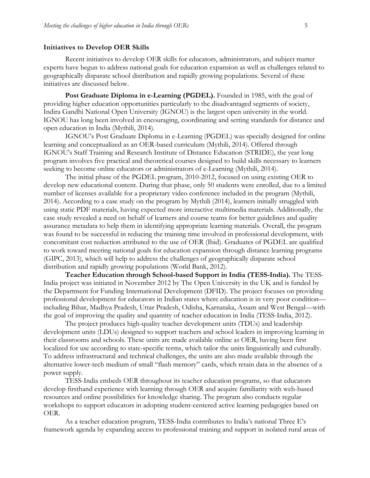#### **Initiatives to Develop OER Skills**

Recent initiatives to develop OER skills for educators, administrators, and subject matter experts have begun to address national goals for education expansion as well as challenges related to geographically disparate school distribution and rapidly growing populations. Several of these initiatives are discussed below.

Post Graduate Diploma in e-Learning (PGDEL). Founded in 1985, with the goal of providing higher education opportunities particularly to the disadvantaged segments of society, Indira Gandhi National Open University (IGNOU) is the largest open university in the world. IGNOU has long been involved in encouraging, coordinating and setting standards for distance and open education in India (Mythili, 2014).

IGNOU's Post Graduate Diploma in e-Learning (PGDEL) was specially designed for online learning and conceptualized as an OER-based curriculum (Mythili, 2014). Offered through IGNOU's Staff Training and Research Institute of Distance Education (STRIDE), the year long program involves five practical and theoretical courses designed to build skills necessary to learners seeking to become online educators or administrators of e-Learning (Mythili, 2014).

The initial phase of the PGDEL program, 2010-2012, focused on using existing OER to develop new educational content. During that phase, only 50 students were enrolled, due to a limited number of licenses available for a proprietary video conference included in the program (Mythili, 2014). According to a case study on the program by Mythili (2014), learners initially struggled with using static PDF materials, having expected more interactive multimedia materials. Additionally, the case study revealed a need on behalf of learners and course teams for better guidelines and quality assurance metadata to help them in identifying appropriate learning materials. Overall, the program was found to be successful in reducing the training time involved in professional development, with concomitant cost reduction attributed to the use of OER (Ibid). Graduates of PGDEL are qualified to work toward meeting national goals for education expansion through distance learning programs (GIPC, 2013), which will help to address the challenges of geographically disparate school distribution and rapidly growing populations (World Bank, 2012).

**Teacher Education through School-based Support in India (TESS-India).** The TESS-India project was initiated in November 2012 by The Open University in the UK and is funded by the Department for Funding International Development (DFID). The project focuses on providing professional development for educators in Indian states where education is in very poor condition including Bihar, Madhya Pradesh, Uttar Pradesh, Odisha, Karnataka, Assam and West Bengal—with the goal of improving the quality and quantity of teacher education in India (TESS-India, 2012).

The project produces high-quality teacher development units (TDUs) and leadership development units (LDUs) designed to support teachers and school leaders in improving learning in their classrooms and schools. These units are made available online as OER, having been first localized for use according to state-specific terms, which tailor the units linguistically and culturally. To address infrastructural and technical challenges, the units are also made available through the alternative lower-tech medium of small "flash memory" cards, which retain data in the absence of a power supply.

TESS-India embeds OER throughout its teacher education programs, so that educators develop firsthand experience with learning through OER and acquire familiarity with web-based resources and online possibilities for knowledge sharing. The program also conducts regular workshops to support educators in adopting student-centered active learning pedagogies based on OER.

As a teacher education program, TESS-India contributes to India's national Three E's framework agenda by expanding access to professional training and support in isolated rural areas of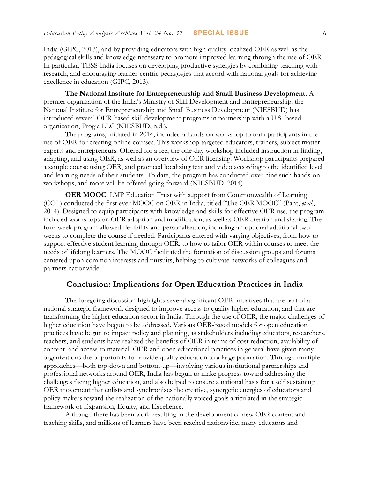India (GIPC, 2013), and by providing educators with high quality localized OER as well as the pedagogical skills and knowledge necessary to promote improved learning through the use of OER. In particular, TESS-India focuses on developing productive synergies by combining teaching with research, and encouraging learner-centric pedagogies that accord with national goals for achieving excellence in education (GIPC, 2013).

**The National Institute for Entrepreneurship and Small Business Development.** A premier organization of the India's Ministry of Skill Development and Entrepreneurship, the National Institute for Entrepreneurship and Small Business Development (NIESBUD) has introduced several OER-based skill development programs in partnership with a U.S.-based organization, Progia LLC (NIESBUD, n.d.).

The programs, initiated in 2014, included a hands-on workshop to train participants in the use of OER for creating online courses. This workshop targeted educators, trainers, subject matter experts and entrepreneurs. Offered for a fee, the one-day workshop included instruction in finding, adapting, and using OER, as well as an overview of OER licensing. Workshop participants prepared a sample course using OER, and practiced localizing text and video according to the identified level and learning needs of their students. To date, the program has conducted over nine such hands-on workshops, and more will be offered going forward (NIESBUD, 2014).

**OER MOOC.** LMP Education Trust with support from Commonwealth of Learning (COL) conducted the first ever MOOC on OER in India, titled "The OER MOOC" (Pant, *et al.*, 2014). Designed to equip participants with knowledge and skills for effective OER use, the program included workshops on OER adoption and modification, as well as OER creation and sharing. The four-week program allowed flexibility and personalization, including an optional additional two weeks to complete the course if needed. Participants entered with varying objectives, from how to support effective student learning through OER, to how to tailor OER within courses to meet the needs of lifelong learners. The MOOC facilitated the formation of discussion groups and forums centered upon common interests and pursuits, helping to cultivate networks of colleagues and partners nationwide.

## **Conclusion: Implications for Open Education Practices in India**

The foregoing discussion highlights several significant OER initiatives that are part of a national strategic framework designed to improve access to quality higher education, and that are transforming the higher education sector in India. Through the use of OER, the major challenges of higher education have begun to be addressed. Various OER-based models for open education practices have begun to impact policy and planning, as stakeholders including educators, researchers, teachers, and students have realized the benefits of OER in terms of cost reduction, availability of content, and access to material. OER and open educational practices in general have given many organizations the opportunity to provide quality education to a large population. Through multiple approaches—both top-down and bottom-up—involving various institutional partnerships and professional networks around OER, India has begun to make progress toward addressing the challenges facing higher education, and also helped to ensure a national basis for a self sustaining OER movement that enlists and synchronizes the creative, synergetic energies of educators and policy makers toward the realization of the nationally voiced goals articulated in the strategic framework of Expansion, Equity, and Excellence.

Although there has been work resulting in the development of new OER content and teaching skills, and millions of learners have been reached nationwide, many educators and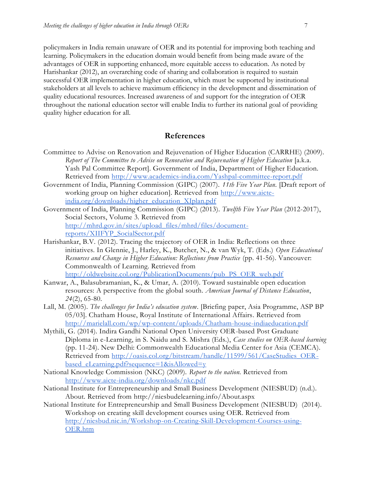policymakers in India remain unaware of OER and its potential for improving both teaching and learning. Policymakers in the education domain would benefit from being made aware of the advantages of OER in supporting enhanced, more equitable access to education. As noted by Harishankar (2012), an overarching code of sharing and collaboration is required to sustain successful OER implementation in higher education, which must be supported by institutional stakeholders at all levels to achieve maximum efficiency in the development and dissemination of quality educational resources. Increased awareness of and support for the integration of OER throughout the national education sector will enable India to further its national goal of providing quality higher education for all.

#### **References**

- Committee to Advise on Renovation and Rejuvenation of Higher Education (CARRHE) (2009). *Report of The Committee to Advise on Renovation and Rejuvenation of Higher Education* [a.k.a. Yash Pal Committee Report]. Government of India, Department of Higher Education. Retrieved from <http://www.academics-india.com/Yashpal-committee-report.pdf>
- Government of India, Planning Commission (GIPC) (2007). *11th Five Year Plan.* [Draft report of working group on higher education]. Retrieved from [http://www.aicte](http://www.aicte-india.org/downloads/higher_education_XIplan.pdf)[india.org/downloads/higher\\_education\\_XIplan.pdf](http://www.aicte-india.org/downloads/higher_education_XIplan.pdf)
- Government of India, Planning Commission (GIPC) (2013). *Twelfth Five Year Plan* (2012-2017), Social Sectors, Volume 3. Retrieved fro[m](http://mhrd.gov.in/sites/upload_files/mhrd/files/document-reports/XIIFYP_SocialSector.pdf) [http://mhrd.gov.in/sites/upload\\_files/mhrd/files/document](http://mhrd.gov.in/sites/upload_files/mhrd/files/document-reports/XIIFYP_SocialSector.pdf)[reports/XIIFYP\\_SocialSector.pdf](http://mhrd.gov.in/sites/upload_files/mhrd/files/document-reports/XIIFYP_SocialSector.pdf)
- Harishankar, B.V. (2012). Tracing the trajectory of OER in India: Reflections on three initiatives. In Glennie, J., Harley, K., Butcher, N., & van Wyk, T. (Eds.) *Open Educational Resources and Change in Higher Education: Reflections from Practice* (pp. 41-56). Vancouver: Commonwealth of Learning. Retrieved from [http://oldwebsite.col.org/PublicationDocuments/pub\\_PS\\_OER\\_web.pdf](http://oldwebsite.col.org/PublicationDocuments/pub_PS_OER_web.pdf)
- Kanwar, A., Balasubramanian, K., & Umar, A. (2010). Toward sustainable open education resources: A perspective from the global south. *American Journal of Distance Education*, *24*(2), 65-80.
- Lall, M. (2005). *The challenges for India's education system*. [Briefing paper, Asia Programme, ASP BP 05/03]. Chatham House, Royal Institute of International Affairs*.* Retrieved fro[m](http://marielall.com/wp/wp-content/uploads/Chatham-house-indiaeducation.pdf) <http://marielall.com/wp/wp-content/uploads/Chatham-house-indiaeducation.pdf>
- Mythili, G. (2014). Indira Gandhi National Open University OER-based Post Graduate Diploma in e-Learning, in S. Naidu and S. Mishra (Eds.), *Case studies on OER-based learning*  (pp. 11-24). New Delhi: Commonwealth Educational Media Center for Asia (CEMCA). Retrieved from [http://oasis.col.org/bitstream/handle/11599/561/CaseStudies\\_OER](http://oasis.col.org/bitstream/handle/11599/561/CaseStudies_OER-based_eLearning.pdf?sequence=1&isAllowed=y)based eLearning.pdf?sequence=1&isAllowed=y
- National Knowledge Commission (NKC) (2009). *Report to the nation.* Retrieved fro[m](http://www.aicte-india.org/downloads/nkc.pdf) <http://www.aicte-india.org/downloads/nkc.pdf>
- National Institute for Entrepreneurship and Small Business Development (NIESBUD) (n.d.). About*.* Retrieved from http://niesbudelearning.info/About.aspx
- National Institute for Entrepreneurship and Small Business Development (NIESBUD) (2014). Workshop on creating skill development courses using OER. Retrieved fro[m](http://niesbud.nic.in/Workshop-on-Creating-Skill-Development-Courses-using-OER.htm) [http://niesbud.nic.in/Workshop-on-Creating-Skill-Development-Courses-using-](http://niesbud.nic.in/Workshop-on-Creating-Skill-Development-Courses-using-OER.htm)[OER.htm](http://niesbud.nic.in/Workshop-on-Creating-Skill-Development-Courses-using-OER.htm)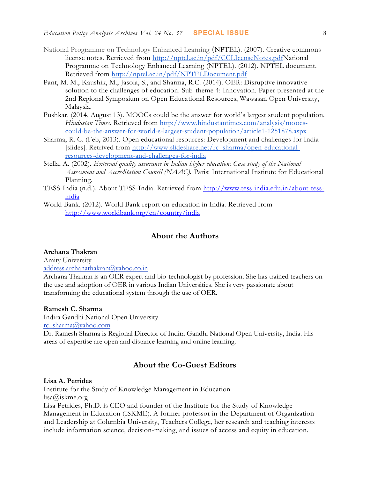- National Programme on Technology Enhanced Learning (NPTEL). (2007). Creative commons license notes. Retrieved from [http://nptel.ac.in/pdf/CCLIcenseNotes.pdfN](http://nptel.ac.in/pdf/CCLIcenseNotes.pdf)ational Programme on Technology Enhanced Learning (NPTEL). (2012). NPTEL document. Retrieved from <http://nptel.ac.in/pdf/NPTELDocument.pdf>
- Pant, M. M., Kaushik, M., Jasola, S., and Sharma, R.C. (2014). OER: Disruptive innovative solution to the challenges of education. Sub-theme 4: Innovation. Paper presented at the 2nd Regional Symposium on Open Educational Resources, Wawasan Open University, Malaysia.
- Pushkar. (2014, August 13). MOOCs could be the answer for world's largest student population. *Hindustan Times*. Retrieved from [http://www.hindustantimes.com/analysis/moocs](http://www.hindustantimes.com/analysis/moocs-could-be-the-answer-for-world-s-largest-student-population/article1-1251878.aspx)[could-be-the-answer-for-world-s-largest-student-population/article1-1251878.aspx](http://www.hindustantimes.com/analysis/moocs-could-be-the-answer-for-world-s-largest-student-population/article1-1251878.aspx)
- Sharma, R. C. (Feb, 2013). Open educational resources: Development and challenges for India [slides]. Retrived fro[m](http://www.slideshare.net/rc_sharma/open-educational-resources-development-and-challenges-for-india) [http://www.slideshare.net/rc\\_sharma/open-educational](http://www.slideshare.net/rc_sharma/open-educational-resources-development-and-challenges-for-india)[resources-development-and-challenges-for-india](http://www.slideshare.net/rc_sharma/open-educational-resources-development-and-challenges-for-india)
- Stella, A. (2002). *External quality assurance in Indian higher education: Case study of the National Assessment and Accreditation Council (NAAC).* Paris: International Institute for Educational Planning.
- TESS-India (n.d.). About TESS-India. Retrieved from [http://www.tess-india.edu.in/about-tess](http://www.tess-india.edu.in/about-tess-india)[india](http://www.tess-india.edu.in/about-tess-india)
- World Bank. (2012). World Bank report on education in India. Retrieved fro[m](http://www.worldbank.org/en/country/india) <http://www.worldbank.org/en/country/india>

## **About the Authors**

## **Archana Thakran**

Amity University [address.archanathakran@yahoo.co.in](mailto:address.archanathakran@yahoo.co.in)

Archana Thakran is an OER expert and bio-technologist by profession. She has trained teachers on the use and adoption of OER in various Indian Universities. She is very passionate about transforming the educational system through the use of OER.

### **Ramesh C. Sharma**

Indira Gandhi National Open University

[rc\\_sharma@yahoo.com](mailto:rc_sharma@yahoo.com)

Dr. Ramesh Sharma is Regional Director of Indira Gandhi National Open University, India. His areas of expertise are open and distance learning and online learning.

## **About the Co-Guest Editors**

#### **Lisa A. Petrides**

Institute for the Study of Knowledge Management in Education lisa@iskme.org

Lisa Petrides, Ph.D. is CEO and founder of the Institute for the Study of Knowledge Management in Education (ISKME). A former professor in the Department of Organization and Leadership at Columbia University, Teachers College, her research and teaching interests include information science, decision-making, and issues of access and equity in education.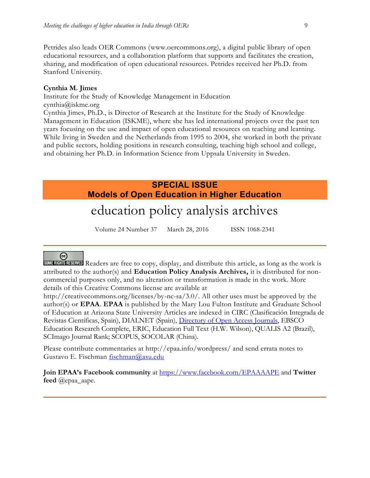Petrides also leads OER Commons [\(www.oercommons.org\)](http://www.oercommons.org/), a digital public library of open educational resources, and a collaboration platform that supports and facilitates the creation, sharing, and modification of open educational resources. Petrides received her Ph.D. from Stanford University.

#### **Cynthia M. Jimes**

Institute for the Study of Knowledge Management in Education cynthia@iskme.org Cynthia Jimes, Ph.D., is Director of Research at the Institute for the Study of Knowledge Management in Education (ISKME), where she has led international projects over the past ten years focusing on the use and impact of open educational resources on teaching and learning. While living in Sweden and the Netherlands from 1995 to 2004, she worked in both the private and public sectors, holding positions in research consulting, teaching high school and college, and obtaining her Ph.D. in Information Science from Uppsala University in Sweden.

# **SPECIAL ISSUE Models of Open Education in Higher Education**

# education policy analysis archives

Volume 24 Number 37 March 28, 2016 ISSN 1068-2341

# (တ

SOME RIGHTS RESERVED Readers are free to copy, display, and distribute this article, as long as the work is attributed to the author(s) and **Education Policy Analysis Archives,** it is distributed for noncommercial purposes only, and no alteration or transformation is made in the work. More details of this Creative Commons license are available at

http://creativecommons.org/licenses/by-nc-sa/3.0/. All other uses must be approved by the author(s) or **EPAA**. **EPAA** is published by the Mary Lou Fulton Institute and Graduate School of Education at Arizona State University Articles are indexed in CIRC (Clasificación Integrada de Revistas Científicas, Spain), DIALNET (Spain), [Directory of Open Access Journals,](http://www.doaj.org/) EBSCO Education Research Complete, ERIC, Education Full Text (H.W. Wilson), QUALIS A2 (Brazil), SCImago Journal Rank; SCOPUS, SOCOLAR (China).

Please contribute commentaries at http://epaa.info/wordpress/ and send errata notes to Gustavo E. Fischman [fischman@asu.edu](mailto:fischman@asu.edu)

**Join EPAA's Facebook community** at<https://www.facebook.com/EPAAAAPE> and **Twitter feed** @epaa\_aape.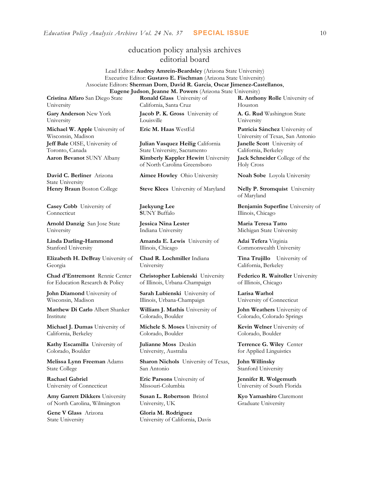# education policy analysis archives editorial board

#### Lead Editor: **Audrey Amrein-Beardsley** (Arizona State University) Executive Editor: **Gustavo E. Fischman** (Arizona State University) Associate Editors: **Sherman Dorn**, **David R. Garcia**, **Oscar Jimenez-Castellanos**, **Eugene Judson**, **Jeanne M. Powers** (Arizona State University)

**Cristina Alfaro** San Diego State

University

**Gary Anderson** New York University

**Michael W. Apple** University of Wisconsin, Madison **Jeff Bale** OISE, University of Toronto, Canada

**David C. Berliner** Arizona State University

**Casey Cobb** University of Connecticut

**Arnold Danzig** San Jose State University

**Linda Darling-Hammond**  Stanford University

**Elizabeth H. DeBray** University of Georgia

**Chad d'Entremont** Rennie Center for Education Research & Policy

**John Diamond** University of Wisconsin, Madison

**Matthew Di Carlo** Albert Shanker Institute

**Michael J. Dumas** University of California, Berkeley

**Kathy Escamilla** University of Colorado, Boulder

**Melissa Lynn Freeman** Adams State College

**Rachael Gabriel** University of Connecticut

**Amy Garrett Dikkers** University of North Carolina, Wilmington

**Gene V Glass** Arizona State University

**Ronald Glass** University of California, Santa Cruz

**Jacob P. K. Gross** University of Louisville

**Julian Vasquez Heilig** California State University, Sacramento **Aaron Bevanot** SUNY Albany **Kimberly Kappler Hewitt** University of North Carolina Greensboro

**Henry Braun** Boston College **Steve Klees** University of Maryland **Nelly P. Stromquist** University

**Jaekyung Lee S**UNY Buffalo

**Jessica Nina Lester** Indiana University

**Amanda E. Lewis** University of Illinois, Chicago

**Chad R. Lochmiller** Indiana University

**Christopher Lubienski** University of Illinois, Urbana-Champaign

**Sarah Lubienski** University of Illinois, Urbana-Champaign

**William J. Mathis** University of Colorado, Boulder

**Michele S. Moses** University of Colorado, Boulder

**Julianne Moss** Deakin University, Australia

**Sharon Nichols** University of Texas, San Antonio

**Eric Parsons** University of Missouri-Columbia

**Susan L. Robertson** Bristol University, UK

**Gloria M. Rodriguez** University of California, Davis **R. Anthony Rolle** University of Houston

**A. G. Rud** Washington State University

**Eric M. Haas** WestEd **Patricia Sánchez** University of University of Texas, San Antonio **Janelle Scott** University of California, Berkeley **Jack Schneider** College of the Holy Cross

**Aimee Howley** Ohio University **Noah Sobe** Loyola University

of Maryland

**Benjamin Superfine** University of Illinois, Chicago

**Maria Teresa Tatto**  Michigan State University

**Adai Tefera** Virginia Commonwealth University

**Tina Trujillo** University of California, Berkeley

**Federico R. Waitoller** University of Illinois, Chicago

**Larisa Warhol** University of Connecticut

**John Weathers** University of Colorado, Colorado Springs

**Kevin Welner** University of Colorado, Boulder

**Terrence G. Wiley** Center for Applied Linguistics

**John Willinsky**  Stanford University

**Jennifer R. Wolgemuth**  University of South Florida

**Kyo Yamashiro** Claremont Graduate University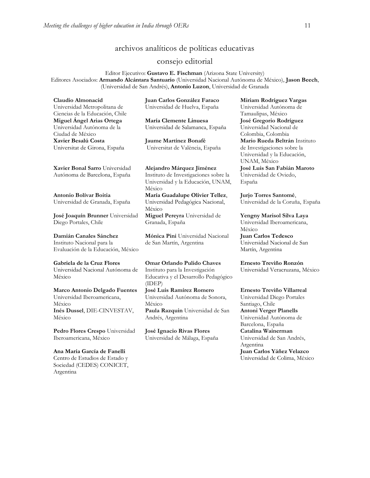## archivos analíticos de políticas educativas

#### consejo editorial

Editor Ejecutivo: **Gustavo E. Fischman** (Arizona State University) Editores Asociados: **Armando Alcántara Santuario** (Universidad Nacional Autónoma de México), **Jason Beech**, (Universidad de San Andrés), **Antonio Luzon**, Universidad de Granada

| Claudio Almonacid                | Juan Carlos González Faraco           | Mi   |
|----------------------------------|---------------------------------------|------|
| Universidad Metropolitana de     | Universidad de Huelva, España         | Un   |
| Ciencias de la Educación, Chile  |                                       | Tar  |
| Miguel Ángel Arias Ortega        | María Clemente Linuesa                | Jos  |
| Universidad Autónoma de la       | Universidad de Salamanca, España      | Un   |
| Ciudad de México                 |                                       | Col  |
| Xavier Besalú Costa              | Jaume Martínez Bonafé                 | Ma   |
| Universitat de Girona, España    | Universitat de València, España       | de : |
|                                  |                                       | Un   |
|                                  |                                       | UN   |
| Xavier Bonal Sarro Universidad   | Alejandro Márquez Jiménez             | Jos  |
| Autónoma de Barcelona, España    | Instituto de Investigaciones sobre la | Un   |
|                                  | Universidad y la Educación, UNAM,     | Esp  |
|                                  | México                                |      |
| Antonio Bolívar Boitia           | María Guadalupe Olivier Tellez,       | Jur  |
| Universidad de Granada, España   | Universidad Pedagógica Nacional,      | Un   |
|                                  | México                                |      |
| José Joaquín Brunner Universidad | Miguel Pereyra Universidad de         | Yeı  |
| Diego Portales, Chile            | Granada, España                       | Un   |

**[Damián Canales Sánchez](javascript:openRTWindow()** Instituto Nacional para la Evaluación de la Educación, México **[Mónica Pini](javascript:openRTWindow()** Universidad Nacional de San Martín, Argentina

**Gabriela de la Cruz Flores** Universidad Nacional Autónoma de México

**[Marco Antonio Delgado Fuentes](javascript:openRTWindow()** Universidad Iberoamericana, México **[Inés Dussel](javascript:openRTWindow()**, DIE-CINVESTAV, México

**[Pedro Flores Crespo](javascript:openRTWindow()** Universidad Iberoamericana, México

**Ana María García de Fanelli**  Centro de Estudios de Estado y Sociedad (CEDES) CONICET, Argentina

**Omar Orlando Pulido Chaves** Instituto para la Investigación Educativa y el Desarrollo Pedagógico (IDEP)

**[José Luis Ramírez](javascript:openRTWindow() Romero** Universidad Autónoma de Sonora, México **[Paula Razquin](javascript:openRTWindow()** Universidad de San Andrés, Argentina

**José Ignacio Rivas Flores** Universidad de Málaga, España **[Miriam Rodríguez Vargas](javascript:openRTWindow()** iversidad Autónoma de naulipas, México **José Gregorio Rodríguez**  iversidad Nacional de Colombia, Colombia **[Mario Rueda Beltrán](javascript:openRTWindow()** Instituto Investigaciones sobre la iversidad y la Educación, IAM, México **José Luis San Fabián Maroto**  iversidad de Oviedo, paña

**[Jurjo Torres Santomé](javascript:openRTWindow()**, iversidad de la Coruña, España

**[Yengny Marisol Silva Laya](javascript:openRTWindow()** iversidad Iberoamericana, México

**Juan Carlos Tedesco** Universidad Nacional de San Martín, Argentina

**Ernesto Treviño Ronzón** Universidad Veracruzana, México

**[Ernesto Treviño](javascript:openRTWindow() Villarreal** Universidad Diego Portales Santiago, Chile **[Antoni Verger Planells](javascript:openRTWindow()** Universidad Autónoma de Barcelona, España **[Catalina Wainerman](javascript:openRTWindow()** Universidad de San Andrés, Argentina **Juan Carlos Yáñez Velazco** Universidad de Colima, México